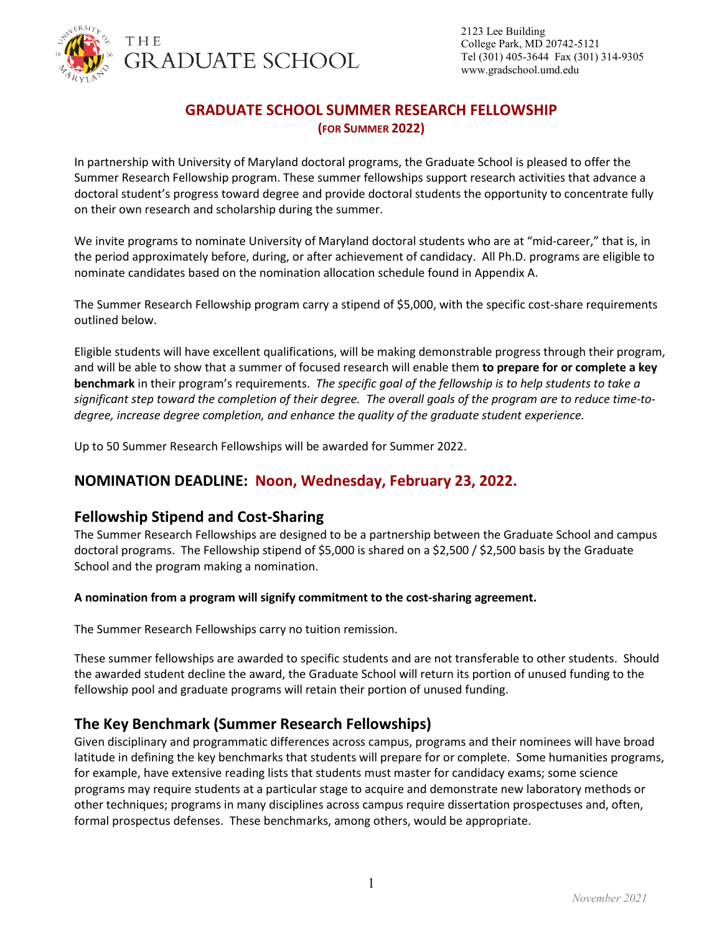

# **GRADUATE SCHOOL SUMMER RESEARCH FELLOWSHIP (FOR SUMMER 2022)**

In partnership with University of Maryland doctoral programs, the Graduate School is pleased to offer the Summer Research Fellowship program. These summer fellowships support research activities that advance a doctoral student's progress toward degree and provide doctoral students the opportunity to concentrate fully on their own research and scholarship during the summer.

We invite programs to nominate University of Maryland doctoral students who are at "mid-career," that is, in the period approximately before, during, or after achievement of candidacy. All Ph.D. programs are eligible to nominate candidates based on the nomination allocation schedule found in Appendix A.

The Summer Research Fellowship program carry a stipend of \$5,000, with the specific cost-share requirements outlined below.

Eligible students will have excellent qualifications, will be making demonstrable progress through their program, and will be able to show that a summer of focused research will enable them **to prepare for or complete a key benchmark** in their program's requirements. *The specific goal of the fellowship is to help students to take a significant step toward the completion of their degree. The overall goals of the program are to reduce time-todegree, increase degree completion, and enhance the quality of the graduate student experience.*

Up to 50 Summer Research Fellowships will be awarded for Summer 2022.

# **NOMINATION DEADLINE: Noon, Wednesday, February 23, 2022.**

### **Fellowship Stipend and Cost-Sharing**

The Summer Research Fellowships are designed to be a partnership between the Graduate School and campus doctoral programs. The Fellowship stipend of \$5,000 is shared on a \$2,500 / \$2,500 basis by the Graduate School and the program making a nomination.

#### **A nomination from a program will signify commitment to the cost-sharing agreement.**

The Summer Research Fellowships carry no tuition remission.

These summer fellowships are awarded to specific students and are not transferable to other students. Should the awarded student decline the award, the Graduate School will return its portion of unused funding to the fellowship pool and graduate programs will retain their portion of unused funding.

# **The Key Benchmark (Summer Research Fellowships)**

Given disciplinary and programmatic differences across campus, programs and their nominees will have broad latitude in defining the key benchmarks that students will prepare for or complete. Some humanities programs, for example, have extensive reading lists that students must master for candidacy exams; some science programs may require students at a particular stage to acquire and demonstrate new laboratory methods or other techniques; programs in many disciplines across campus require dissertation prospectuses and, often, formal prospectus defenses. These benchmarks, among others, would be appropriate.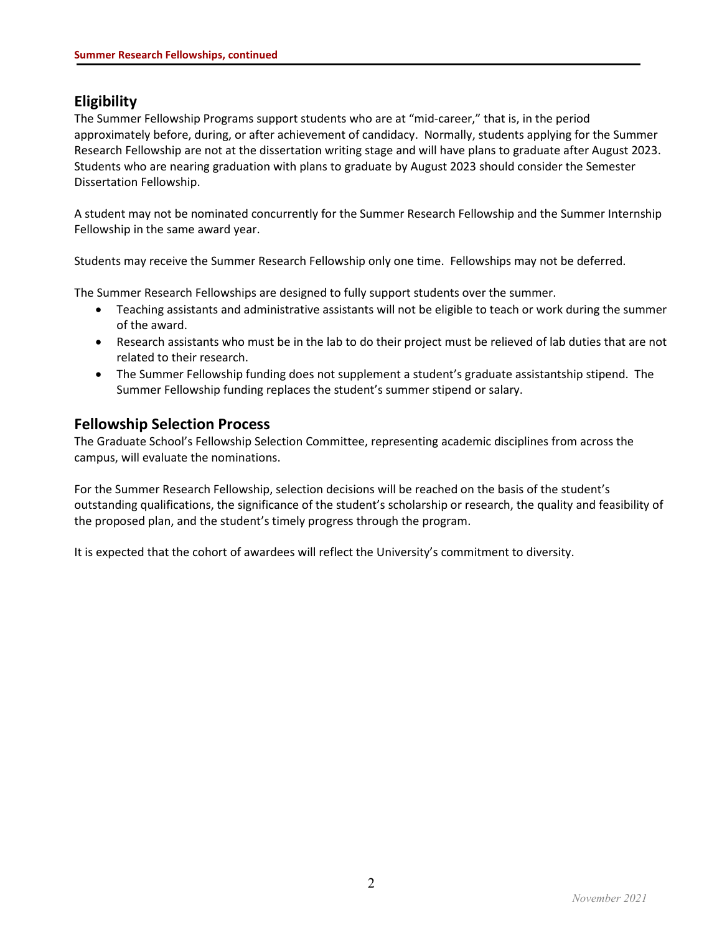## **Eligibility**

The Summer Fellowship Programs support students who are at "mid-career," that is, in the period approximately before, during, or after achievement of candidacy. Normally, students applying for the Summer Research Fellowship are not at the dissertation writing stage and will have plans to graduate after August 2023. Students who are nearing graduation with plans to graduate by August 2023 should consider the Semester Dissertation Fellowship.

A student may not be nominated concurrently for the Summer Research Fellowship and the Summer Internship Fellowship in the same award year.

Students may receive the Summer Research Fellowship only one time. Fellowships may not be deferred.

The Summer Research Fellowships are designed to fully support students over the summer.

- Teaching assistants and administrative assistants will not be eligible to teach or work during the summer of the award.
- Research assistants who must be in the lab to do their project must be relieved of lab duties that are not related to their research.
- The Summer Fellowship funding does not supplement a student's graduate assistantship stipend. The Summer Fellowship funding replaces the student's summer stipend or salary.

### **Fellowship Selection Process**

The Graduate School's Fellowship Selection Committee, representing academic disciplines from across the campus, will evaluate the nominations.

For the Summer Research Fellowship, selection decisions will be reached on the basis of the student's outstanding qualifications, the significance of the student's scholarship or research, the quality and feasibility of the proposed plan, and the student's timely progress through the program.

It is expected that the cohort of awardees will reflect the University's commitment to diversity.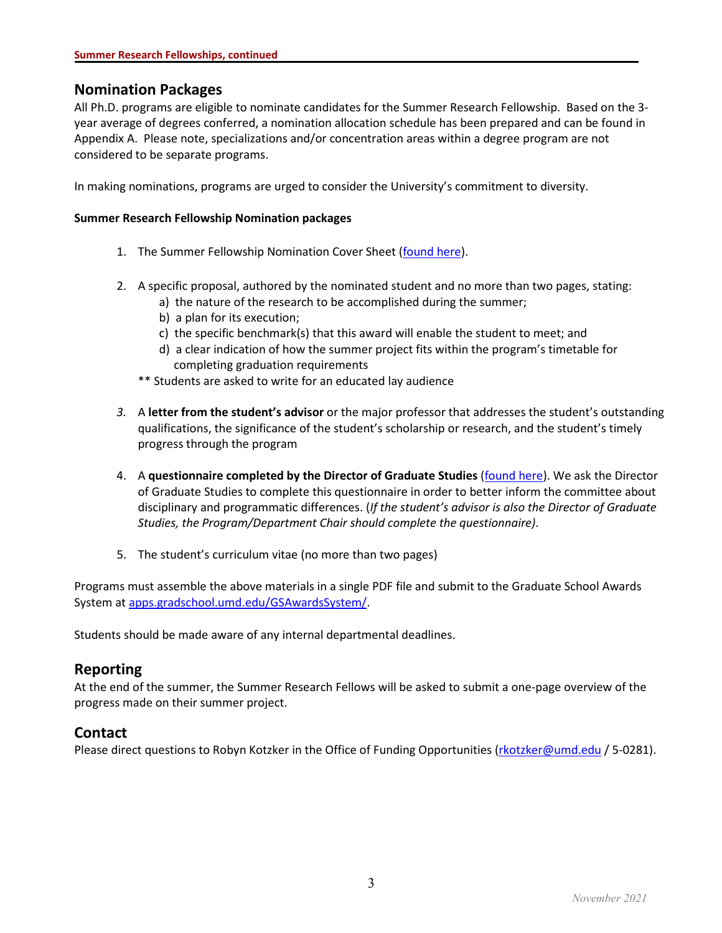### **Nomination Packages**

All Ph.D. programs are eligible to nominate candidates for the Summer Research Fellowship. Based on the 3 year average of degrees conferred, a nomination allocation schedule has been prepared and can be found in Appendix A. Please note, specializations and/or concentration areas within a degree program are not considered to be separate programs.

In making nominations, programs are urged to consider the University's commitment to diversity.

#### **Summer Research Fellowship Nomination packages**

- 1. The Summer Fellowship Nomination Cover Sheet [\(found here\)](https://gradschool.umd.edu/sites/gradschool.umd.edu/files/uploads/Awards/Guidelines/summer_fellowship_cover_sheet_2022.pdf).
- 2. A specific proposal, authored by the nominated student and no more than two pages, stating:
	- a) the nature of the research to be accomplished during the summer;
	- b) a plan for its execution;
	- c) the specific benchmark(s) that this award will enable the student to meet; and
	- d) a clear indication of how the summer project fits within the program's timetable for completing graduation requirements
	- \*\* Students are asked to write for an educated lay audience
- *3.* A **letter from the student's advisor** or the major professor that addresses the student's outstanding qualifications, the significance of the student's scholarship or research, and the student's timely progress through the program
- 4. A **questionnaire completed by the Director of Graduate Studies** [\(found here\)](https://gradschool.umd.edu/sites/gradschool.umd.edu/files/uploads/Awards/Guidelines/dgs_questionnaire.pdf). We ask the Director of Graduate Studies to complete this questionnaire in order to better inform the committee about disciplinary and programmatic differences. (*If the student's advisor is also the Director of Graduate Studies, the Program/Department Chair should complete the questionnaire)*.
- 5. The student's curriculum vitae (no more than two pages)

Programs must assemble the above materials in a single PDF file and submit to the Graduate School Awards System at [apps.gradschool.umd.edu/GSAwardsSystem/.](http://apps.gradschool.umd.edu/GSAwardsSystem/)

Students should be made aware of any internal departmental deadlines.

### **Reporting**

At the end of the summer, the Summer Research Fellows will be asked to submit a one-page overview of the progress made on their summer project.

### **Contact**

Please direct questions to Robyn Kotzker in the Office of Funding Opportunities [\(rkotzker@umd.edu](mailto:rkotzker@umd.edu) / 5-0281).